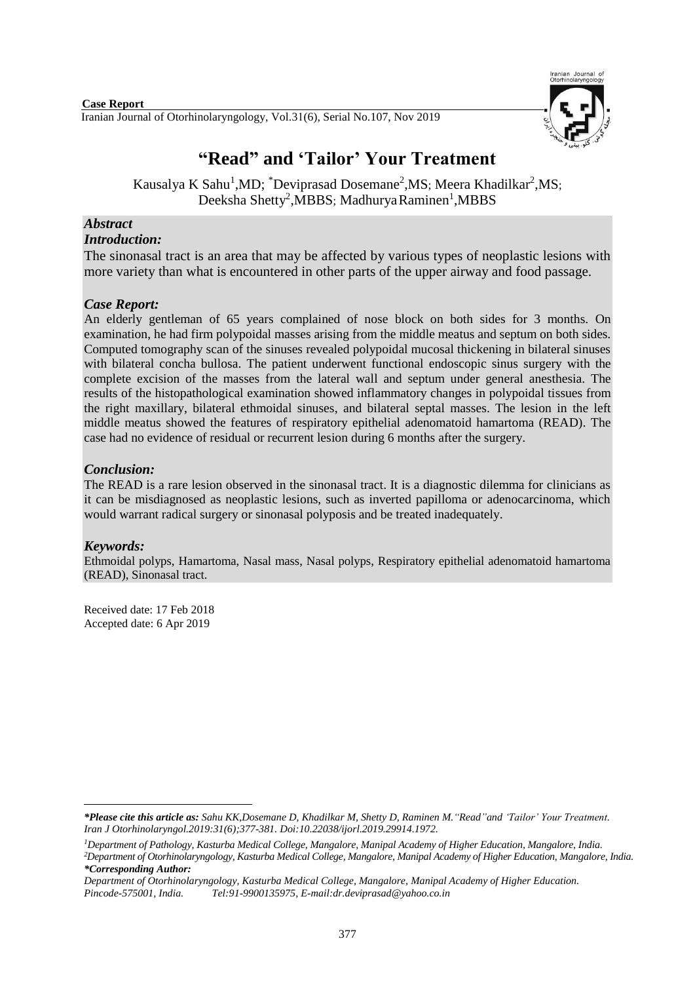

# **"Read" and 'Tailor' Your Treatment**

Kausalya K Sahu<sup>1</sup>,MD; \*Deviprasad Dosemane<sup>2</sup>,MS; Meera Khadilkar<sup>2</sup>,MS; Deeksha Shetty<sup>2</sup>, MBBS; Madhurya Raminen<sup>1</sup>, MBBS

## *Abstract*

## *Introduction:*

The sinonasal tract is an area that may be affected by various types of neoplastic lesions with more variety than what is encountered in other parts of the upper airway and food passage.

## *Case Report:*

An elderly gentleman of 65 years complained of nose block on both sides for 3 months. On examination, he had firm polypoidal masses arising from the middle meatus and septum on both sides. Computed tomography scan of the sinuses revealed polypoidal mucosal thickening in bilateral sinuses with bilateral concha bullosa. The patient underwent functional endoscopic sinus surgery with the complete excision of the masses from the lateral wall and septum under general anesthesia. The results of the histopathological examination showed inflammatory changes in polypoidal tissues from the right maxillary, bilateral ethmoidal sinuses, and bilateral septal masses. The lesion in the left middle meatus showed the features of respiratory epithelial adenomatoid hamartoma (READ). The case had no evidence of residual or recurrent lesion during 6 months after the surgery.

## *Conclusion:*

The READ is a rare lesion observed in the sinonasal tract. It is a diagnostic dilemma for clinicians as it can be misdiagnosed as neoplastic lesions, such as inverted papilloma or adenocarcinoma, which would warrant radical surgery or sinonasal polyposis and be treated inadequately.

## *Keywords:*

Ethmoidal polyps, Hamartoma, Nasal mass, Nasal polyps, Respiratory epithelial adenomatoid hamartoma (READ), Sinonasal tract.

Received date: 17 Feb 2018 Accepted date: 6 Apr 2019

<sup>1</sup> *\*Please cite this article as: Sahu KK,Dosemane D, Khadilkar M, Shetty D, Raminen M."Read"and 'Tailor' Your Treatment. [Iran J Otorhinolaryngol.2](https://www.ncbi.nlm.nih.gov/pubmed/?term=Tri-layer+Tympanoplasty+as+a+New+Technique+in+High-risk+Tympanic+Membrane+Perforations)019:31(6);377-381. Doi:10.22038/ijorl.2019.29914.1972.*

*<sup>1</sup>Department of Pathology, Kasturba Medical College, Mangalore, Manipal Academy of Higher Education, Mangalore, India. <sup>2</sup>Department of Otorhinolaryngology, Kasturba Medical College, Mangalore, Manipal Academy of Higher Education, Mangalore, India. \*Corresponding Author:*

*Department of Otorhinolaryngology, Kasturba Medical College, Mangalore, Manipal Academy of Higher Education. Pincode-575001, India. Tel:91-9900135975, [E-mail:d](mailto:E.MAIL-musicnmee@gmail.com)r.deviprasad@yahoo.co.in*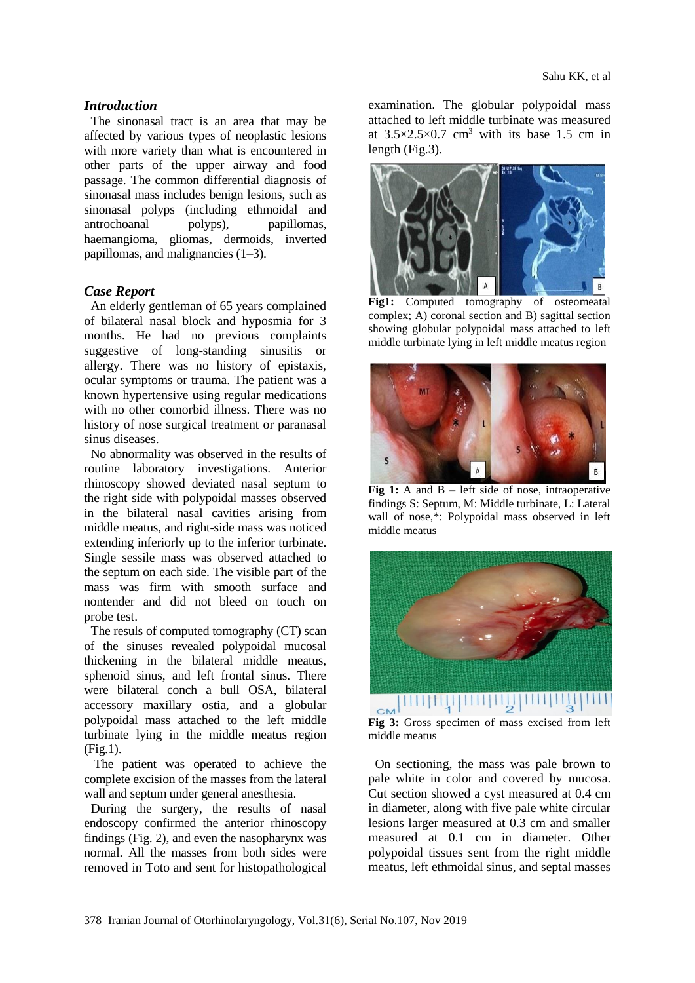#### *Introduction*

The sinonasal tract is an area that may be affected by various types of neoplastic lesions with more variety than what is encountered in other parts of the upper airway and food passage. The common differential diagnosis of sinonasal mass includes benign lesions, such as sinonasal polyps (including ethmoidal and antrochoanal polyps), papillomas, haemangioma, gliomas, dermoids, inverted papillomas, and malignancies (1–3).

#### *Case Report*

An elderly gentleman of 65 years complained of bilateral nasal block and hyposmia for 3 months. He had no previous complaints suggestive of long-standing sinusitis or allergy. There was no history of epistaxis, ocular symptoms or trauma. The patient was a known hypertensive using regular medications with no other comorbid illness. There was no history of nose surgical treatment or paranasal sinus diseases.

No abnormality was observed in the results of routine laboratory investigations. Anterior rhinoscopy showed deviated nasal septum to the right side with polypoidal masses observed in the bilateral nasal cavities arising from middle meatus, and right-side mass was noticed extending inferiorly up to the inferior turbinate. Single sessile mass was observed attached to the septum on each side. The visible part of the mass was firm with smooth surface and nontender and did not bleed on touch on probe test.

The resuls of computed tomography (CT) scan of the sinuses revealed polypoidal mucosal thickening in the bilateral middle meatus, sphenoid sinus, and left frontal sinus. There were bilateral conch a bull OSA, bilateral accessory maxillary ostia, and a globular polypoidal mass attached to the left middle turbinate lying in the middle meatus region (Fig.1).

The patient was operated to achieve the complete excision of the masses from the lateral wall and septum under general anesthesia.

During the surgery, the results of nasal endoscopy confirmed the anterior rhinoscopy findings (Fig. 2), and even the nasopharynx was normal. All the masses from both sides were removed in Toto and sent for histopathological

examination. The globular polypoidal mass attached to left middle turbinate was measured at  $3.5 \times 2.5 \times 0.7$  cm<sup>3</sup> with its base 1.5 cm in length (Fig.3).



**Fig1:** Computed tomography of osteomeatal complex; A) coronal section and B) sagittal section showing globular polypoidal mass attached to left middle turbinate lying in left middle meatus region



Fig 1: A and B – left side of nose, intraoperative findings S: Septum, M: Middle turbinate, L: Lateral wall of nose,\*: Polypoidal mass observed in left middle meatus



**Fig 3:** Gross specimen of mass excised from left middle meatus

On sectioning, the mass was pale brown to pale white in color and covered by mucosa. Cut section showed a cyst measured at 0.4 cm in diameter, along with five pale white circular lesions larger measured at 0.3 cm and smaller measured at 0.1 cm in diameter. Other polypoidal tissues sent from the right middle meatus, left ethmoidal sinus, and septal masses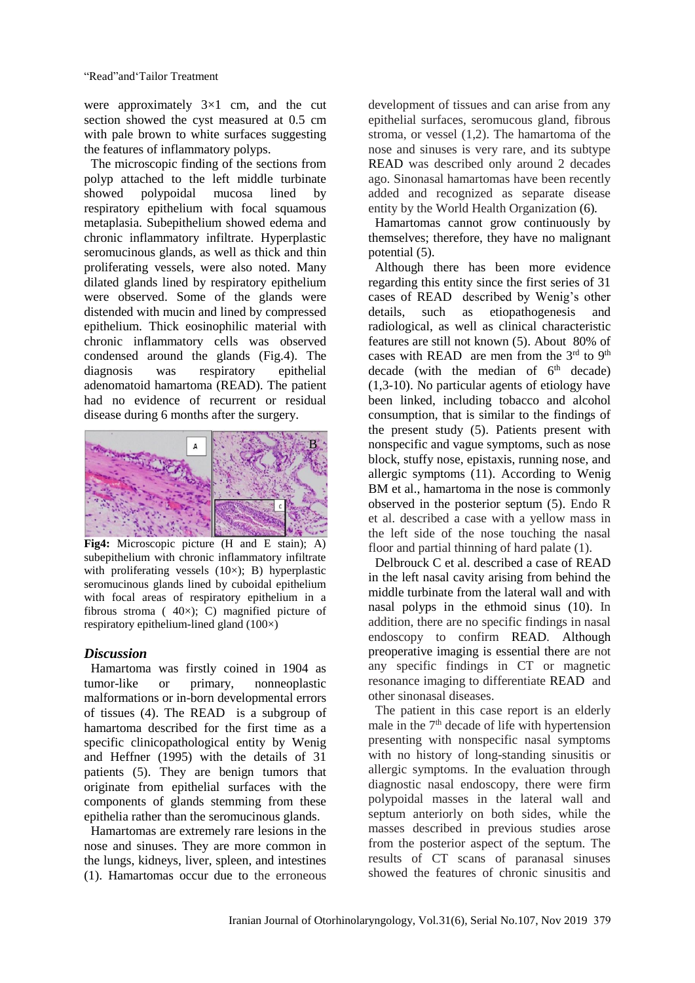were approximately 3×1 cm, and the cut section showed the cyst measured at 0.5 cm with pale brown to white surfaces suggesting the features of inflammatory polyps.

The microscopic finding of the sections from polyp attached to the left middle turbinate showed polypoidal mucosa lined by respiratory epithelium with focal squamous metaplasia. Subepithelium showed edema and chronic inflammatory infiltrate. Hyperplastic seromucinous glands, as well as thick and thin proliferating vessels, were also noted. Many dilated glands lined by respiratory epithelium were observed. Some of the glands were distended with mucin and lined by compressed epithelium. Thick eosinophilic material with chronic inflammatory cells was observed condensed around the glands (Fig.4). The diagnosis was respiratory epithelial adenomatoid hamartoma (READ). The patient had no evidence of recurrent or residual disease during 6 months after the surgery.



**Fig4:** Microscopic picture (H and E stain); A) subepithelium with chronic inflammatory infiltrate with proliferating vessels  $(10\times)$ ; B) hyperplastic seromucinous glands lined by cuboidal epithelium with focal areas of respiratory epithelium in a fibrous stroma ( $40\times$ ); C) magnified picture of respiratory epithelium-lined gland (100×)

#### *Discussion*

Hamartoma was firstly coined in 1904 as tumor-like or primary, nonneoplastic malformations or in-born developmental errors of tissues (4). The READ is a subgroup of hamartoma described for the first time as a specific clinicopathological entity by Wenig and Heffner (1995) with the details of 31 patients (5). They are benign tumors that originate from epithelial surfaces with the components of glands stemming from these epithelia rather than the seromucinous glands.

Hamartomas are extremely rare lesions in the nose and sinuses. They are more common in the lungs, kidneys, liver, spleen, and intestines (1). Hamartomas occur due to the erroneous

development of tissues and can arise from any epithelial surfaces, seromucous gland, fibrous stroma, or vessel (1,2). The hamartoma of the nose and sinuses is very rare, and its subtype READ was described only around 2 decades ago. Sinonasal hamartomas have been recently added and recognized as separate disease entity by the World Health Organization (6)*.*

Hamartomas cannot grow continuously by themselves; therefore, they have no malignant potential (5).

Although there has been more evidence regarding this entity since the first series of 31 cases of READ described by Wenig's other details, such as etiopathogenesis and radiological, as well as clinical characteristic features are still not known (5). About 80% of cases with READ are men from the  $3<sup>rd</sup>$  to  $9<sup>th</sup>$ decade (with the median of  $6<sup>th</sup>$  decade) (1,3-10). No particular agents of etiology have been linked, including tobacco and alcohol consumption, that is similar to the findings of the present study (5). Patients present with nonspecific and vague symptoms, such as nose block, stuffy nose, epistaxis, running nose, and allergic symptoms (11). According to Wenig BM et al., hamartoma in the nose is commonly observed in the posterior septum (5). Endo R et al. described a case with a yellow mass in the left side of the nose touching the nasal floor and partial thinning of hard palate (1).

Delbrouck C et al. described a case of READ in the left nasal cavity arising from behind the middle turbinate from the lateral wall and with nasal polyps in the ethmoid sinus (10). In addition, there are no specific findings in nasal endoscopy to confirm READ. Although preoperative imaging is essential there are not any specific findings in CT or magnetic resonance imaging to differentiate READ and other sinonasal diseases.

The patient in this case report is an elderly male in the  $7<sup>th</sup>$  decade of life with hypertension presenting with nonspecific nasal symptoms with no history of long-standing sinusitis or allergic symptoms. In the evaluation through diagnostic nasal endoscopy, there were firm polypoidal masses in the lateral wall and septum anteriorly on both sides, while the masses described in previous studies arose from the posterior aspect of the septum. The results of CT scans of paranasal sinuses showed the features of chronic sinusitis and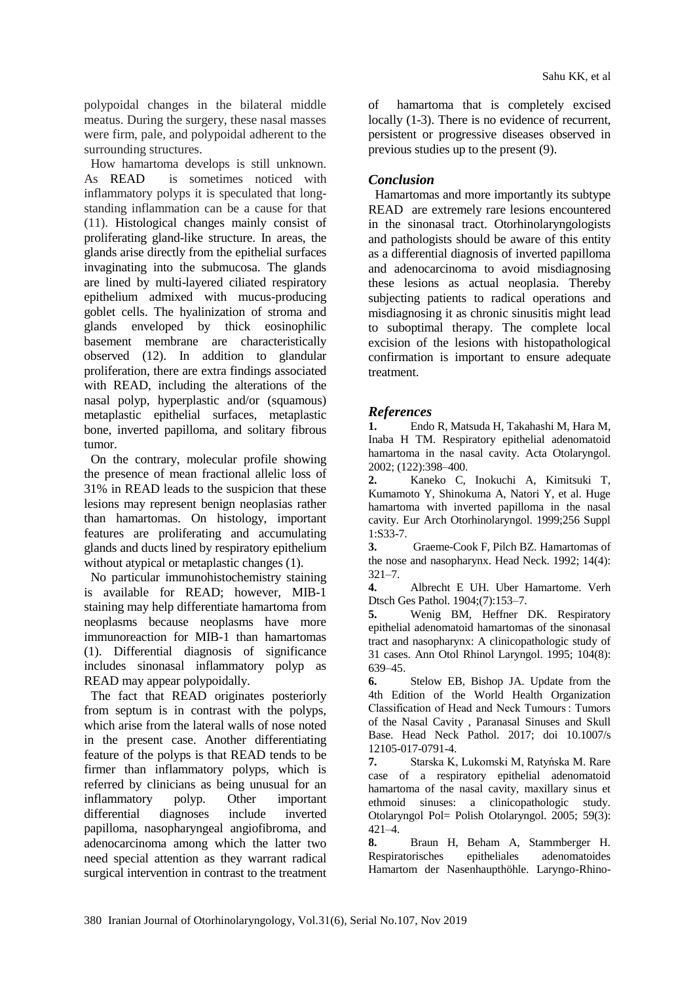polypoidal changes in the bilateral middle meatus. During the surgery, these nasal masses were firm, pale, and polypoidal adherent to the surrounding structures.

How hamartoma develops is still unknown. As READ is sometimes noticed with inflammatory polyps it is speculated that longstanding inflammation can be a cause for that (11). Histological changes mainly consist of proliferating gland-like structure. In areas, the glands arise directly from the epithelial surfaces invaginating into the submucosa. The glands are lined by multi-layered ciliated respiratory epithelium admixed with mucus-producing goblet cells. The hyalinization of stroma and glands enveloped by thick eosinophilic basement membrane are characteristically observed (12). In addition to glandular proliferation, there are extra findings associated with READ, including the alterations of the nasal polyp, hyperplastic and/or (squamous) metaplastic epithelial surfaces, metaplastic bone, inverted papilloma, and solitary fibrous tumor.

On the contrary, molecular profile showing the presence of mean fractional allelic loss of 31% in READ leads to the suspicion that these lesions may represent benign neoplasias rather than hamartomas. On histology, important features are proliferating and accumulating glands and ducts lined by respiratory epithelium without atypical or metaplastic changes (1).

No particular immunohistochemistry staining is available for READ; however, MIB-1 staining may help differentiate hamartoma from neoplasms because neoplasms have more immunoreaction for MIB-1 than hamartomas (1). Differential diagnosis of significance includes sinonasal inflammatory polyp as READ may appear polypoidally.

The fact that READ originates posteriorly from septum is in contrast with the polyps, which arise from the lateral walls of nose noted in the present case. Another differentiating feature of the polyps is that READ tends to be firmer than inflammatory polyps, which is referred by clinicians as being unusual for an inflammatory polyp. Other important differential diagnoses include inverted papilloma, nasopharyngeal angiofibroma, and adenocarcinoma among which the latter two need special attention as they warrant radical surgical intervention in contrast to the treatment

of hamartoma that is completely excised locally (1-3). There is no evidence of recurrent, persistent or progressive diseases observed in previous studies up to the present (9).

### *Conclusion*

Hamartomas and more importantly its subtype READ are extremely rare lesions encountered in the sinonasal tract. Otorhinolaryngologists and pathologists should be aware of this entity as a differential diagnosis of inverted papilloma and adenocarcinoma to avoid misdiagnosing these lesions as actual neoplasia. Thereby subjecting patients to radical operations and misdiagnosing it as chronic sinusitis might lead to suboptimal therapy. The complete local excision of the lesions with histopathological confirmation is important to ensure adequate treatment.

#### *References*

**1.** Endo R, Matsuda H, Takahashi M, Hara M, Inaba H TM. Respiratory epithelial adenomatoid hamartoma in the nasal cavity. Acta Otolaryngol. 2002; (122):398–400.

**2.** Kaneko C, Inokuchi A, Kimitsuki T, Kumamoto Y, Shinokuma A, Natori Y, et al. Huge hamartoma with inverted papilloma in the nasal cavity. Eur Arch Otorhinolaryngol. 1999;256 Suppl 1:S33-7.

**3.** Graeme-Cook F, Pilch BZ. Hamartomas of the nose and nasopharynx. Head Neck. 1992; 14(4): 321–7.

**4.** Albrecht E UH. Uber Hamartome. Verh Dtsch Ges Pathol. 1904;(7):153–7.

**5.** Wenig BM, Heffner DK. Respiratory epithelial adenomatoid hamartomas of the sinonasal tract and nasopharynx: A clinicopathologic study of 31 cases. Ann Otol Rhinol Laryngol. 1995; 104(8): 639–45.

**6.** Stelow EB, Bishop JA. Update from the 4th Edition of the World Health Organization Classification of Head and Neck Tumours : Tumors of the Nasal Cavity , Paranasal Sinuses and Skull Base. Head Neck Pathol. 2017; doi 10.1007/s 12105-017-0791-4.

**7.** Starska K, Lukomski M, Ratyńska M. Rare case of a respiratory epithelial adenomatoid hamartoma of the nasal cavity, maxillary sinus et ethmoid sinuses: a clinicopathologic study. Otolaryngol Pol= Polish Otolaryngol. 2005; 59(3): 421–4.

**8.** Braun H, Beham A, Stammberger H. Respiratorisches epitheliales adenomatoides Hamartom der Nasenhaupthöhle. Laryngo-Rhino